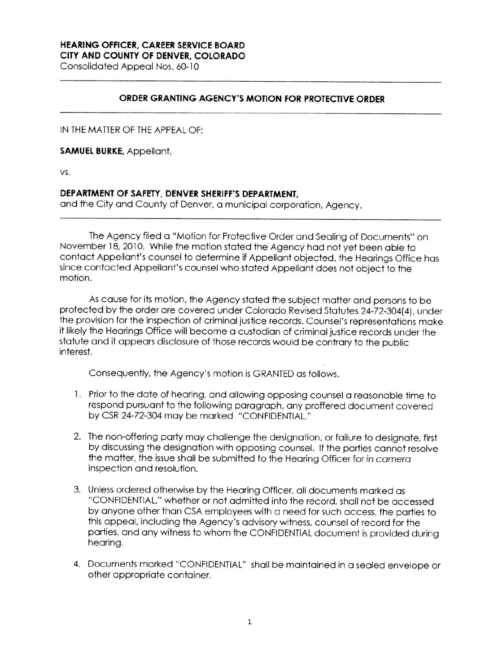## **HEARING OFFICER, CAREER SERVICE BOARD**

**CITY AND COUNTY OF DENVER, COLORADO** 

Consolidated Appeal Nos. 60-10

## **ORDER GRANTING AGENCY'S MOTION FOR PROTECTIVE ORDER**

IN THE MATTER OF THE APPEAL OF:

**SAMUEL BURKE,** Appellant,

vs.

## **DEPARTMENT OF SAFETY, DENVER SHERIFF'S DEPARTMENT,**

and the City and County of Denver, a municipal corporation, Agency.

The Agency filed a "Motion for Protective Order and Sealing of Documents" on November 18, 2010. While the motion stated the Agency had not yet been able to contact Appellant's counsel to determine if Appellant objected, the Hearings Office has since contacted Appellant's counsel who stated Appellant does not object to the motion.

As cause for its motion, the Agency stated the subject matter and persons to be protected by the order are covered under Colorado Revised Statutes 24-72-304(4), under the provision for the inspection of criminal justice records. Counsel's representations make it likely the Hearings Office will become a custodian of criminal justice records under the statute and it appears disclosure of those records would be contrary to the public interest.

Consequently, the Agency's motion is GRANTED as follows.

- 1 . Prior to the date of hearing, and allowing opposing counsel a reasonable time to respond pursuant to the following paragraph, any proffered document covered by CSR 24-72-304 may be marked "CONFIDENTIAL."
- 2. The non-offering party may challenge the designation, or failure to designate, first by discussing the designation with opposing counsel. If the parties cannot resolve the matter, the issue shall be submitted to the Hearing Officer for in camera inspection and resolution.
- 3. Unless ordered otherwise by the Hearing Officer, all documents marked as "CONFIDENTIAL," whether or not admitted into the record, shall not be accessed by anyone other than CSA employees with a need for such access, the parties to this appeal, including the Agency's advisory witness, counsel of record for the parties, and any witness to whom the CONFIDENTIAL document is provided during hearing.
- 4. Documents marked "CONFIDENTIAL" shall be maintained in a sealed envelope or other appropriate container.